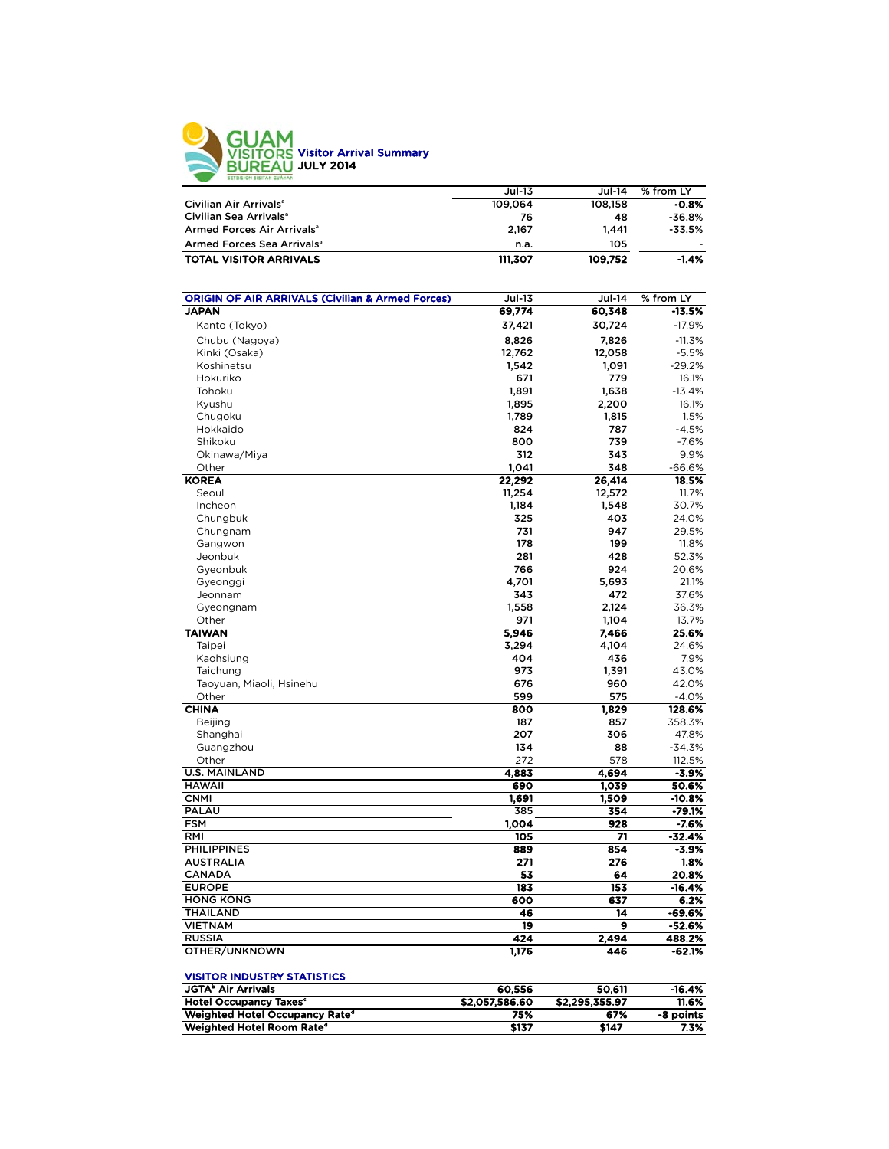

|                                        | <b>Jul-13</b> | Jul-14  | % from LY                |
|----------------------------------------|---------------|---------|--------------------------|
| Civilian Air Arrivals <sup>a</sup>     | 109.064       | 108.158 | $-0.8%$                  |
| Civilian Sea Arrivals <sup>a</sup>     | 76            | 48      | $-36.8%$                 |
| Armed Forces Air Arrivals <sup>a</sup> | 2.167         | 1.441   | -33.5%                   |
| Armed Forces Sea Arrivals <sup>a</sup> | n.a.          | 105     | $\overline{\phantom{0}}$ |
| <b>TOTAL VISITOR ARRIVALS</b>          | 111,307       | 109,752 | $-1.4%$                  |

| <b>ORIGIN OF AIR ARRIVALS (Civilian &amp; Armed Forces)</b> | <b>Jul-13</b>    | <b>Jul-14</b>  | % from LY |
|-------------------------------------------------------------|------------------|----------------|-----------|
| <b>JAPAN</b>                                                | 69,774           | 60,348         | -13.5%    |
| Kanto (Tokyo)                                               | 37,421           | 30,724         | $-17.9%$  |
| Chubu (Nagoya)                                              | 8.826            | 7,826          | $-11.3%$  |
| Kinki (Osaka)                                               | 12,762           | 12,058         | $-5.5%$   |
| Koshinetsu                                                  | 1,542            | 1,091          | $-29.2%$  |
| Hokuriko                                                    | 671              | 779            | 16.1%     |
| Tohoku                                                      | 1,891            | 1,638          | $-13.4%$  |
| Kyushu                                                      | 1,895            | 2,200          | 16.1%     |
| Chugoku                                                     | 1,789            | 1,815          | 1.5%      |
| Hokkaido                                                    | 824              | 787            | $-4.5%$   |
| Shikoku                                                     | 800              | 739            | $-7.6%$   |
| Okinawa/Miya                                                | 312              | 343            | 9.9%      |
| Other                                                       | 1,041            | 348            | $-66.6%$  |
| <b>KOREA</b>                                                | 22,292           | 26,414         | 18.5%     |
| Seoul                                                       | 11,254           | 12,572         | 11.7%     |
| Incheon                                                     | 1,184            | 1,548          | 30.7%     |
| Chungbuk                                                    | 325              | 403            | 24.0%     |
| Chungnam                                                    | 731              | 947            | 29.5%     |
| Gangwon                                                     | 178              | 199            | 11.8%     |
| Jeonbuk                                                     | 281              | 428            | 52.3%     |
| Gyeonbuk                                                    | 766              | 924            | 20.6%     |
| Gyeonggi                                                    | 4,701            | 5,693          | 21.1%     |
| Jeonnam                                                     | 343              | 472            | 37.6%     |
| Gyeongnam                                                   | 1,558            | 2,124          | 36.3%     |
| Other                                                       | 971              | 1,104          | 13.7%     |
| <b>TAIWAN</b>                                               | 5,946            | 7,466          | 25.6%     |
| Taipei                                                      | 3,294            | 4,104          | 24.6%     |
| Kaohsiung                                                   | 404              | 436            | 7.9%      |
| Taichung                                                    | 973              | 1,391          | 43.0%     |
| Taoyuan, Miaoli, Hsinehu                                    | 676              | 960            | 42.0%     |
| Other                                                       | 599              | 575            | $-4.0%$   |
| <b>CHINA</b>                                                | 800              | 1,829          | 128.6%    |
| Beijing                                                     | 187              | 857            | 358.3%    |
| Shanghai                                                    | 207              | 306            | 47.8%     |
| Guangzhou                                                   | 134              | 88             | $-34.3%$  |
| Other                                                       | 272              | 578            | 112.5%    |
| <b>U.S. MAINLAND</b>                                        | 4,883            | 4,694          | $-3.9%$   |
| <b>HAWAII</b>                                               | 690              | 1,039          | 50.6%     |
| <b>CNMI</b>                                                 | 1,691            | 1,509          | $-10.8%$  |
| PALAU                                                       | 385              | 354            | $-79.1%$  |
| <b>FSM</b>                                                  | 1,004            | 928            | $-7.6%$   |
| RMI                                                         | $\overline{105}$ | 71             | $-32.4%$  |
| <b>PHILIPPINES</b>                                          | 889              | 854            | $-3.9%$   |
| <b>AUSTRALIA</b>                                            | 271              | 276            | 1.8%      |
| CANADA                                                      | 53               | 64             | 20.8%     |
| <b>EUROPE</b>                                               | 183              | 153            | $-16.4%$  |
| <b>HONG KONG</b>                                            | 600              | 637            | 6.2%      |
| <b>THAILAND</b>                                             | 46               | 14             | -69.6%    |
| <b>VIETNAM</b>                                              | 19               | 9              | -52.6%    |
| <b>RUSSIA</b>                                               | 424              | 2.494          | 488.2%    |
| OTHER/UNKNOWN                                               | 1,176            | 446            | -62.1%    |
| <b>VISITOR INDUSTRY STATISTICS</b>                          |                  |                |           |
| <b>JGTA</b> <sup>b</sup> Air Arrivals                       | 60,556           | 50,611         | $-16.4%$  |
| <b>Hotel Occupancy Taxes<sup>c</sup></b>                    | \$2,057,586.60   | \$2,295,355.97 | 11.6%     |
|                                                             |                  |                |           |

Weighted Hotel Occupancy Rated 75% 67% -8 points Weighted Hotel Room Rate<sup>d</sup>  $$137$   $$147$   $7.3\%$